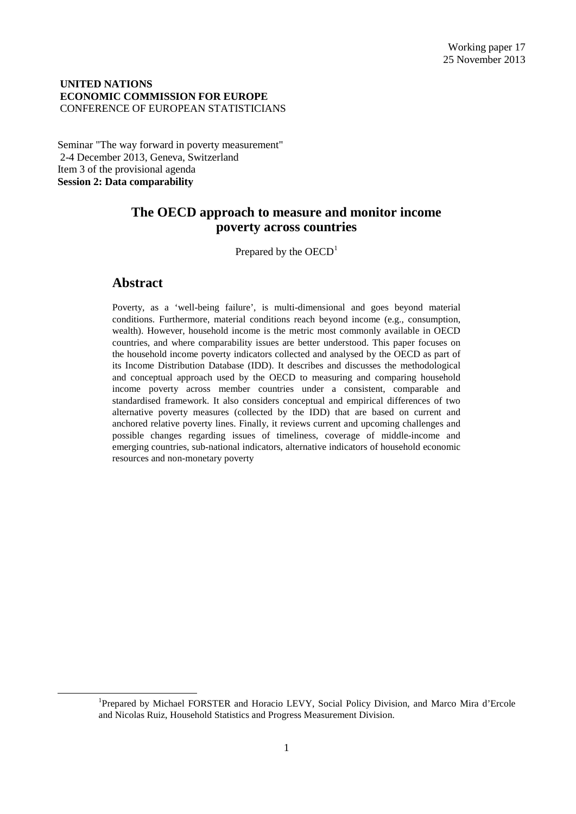### **UNITED NATIONS ECONOMIC COMMISSION FOR EUROPE** CONFERENCE OF EUROPEAN STATISTICIANS

Seminar "The way forward in poverty measurement" 2-4 December 2013, Geneva, Switzerland Item 3 of the provisional agenda **Session 2: Data comparability**

# **The OECD approach to measure and monitor income poverty across countries**

Prepared by the  $OECD<sup>1</sup>$  $OECD<sup>1</sup>$  $OECD<sup>1</sup>$ 

# **Abstract**

Poverty, as a 'well-being failure', is multi-dimensional and goes beyond material conditions. Furthermore, material conditions reach beyond income (e.g., consumption, wealth). However, household income is the metric most commonly available in OECD countries, and where comparability issues are better understood. This paper focuses on the household income poverty indicators collected and analysed by the OECD as part of its Income Distribution Database (IDD). It describes and discusses the methodological and conceptual approach used by the OECD to measuring and comparing household income poverty across member countries under a consistent, comparable and standardised framework. It also considers conceptual and empirical differences of two alternative poverty measures (collected by the IDD) that are based on current and anchored relative poverty lines. Finally, it reviews current and upcoming challenges and possible changes regarding issues of timeliness, coverage of middle-income and emerging countries, sub-national indicators, alternative indicators of household economic resources and non-monetary poverty

<span id="page-0-0"></span><sup>&</sup>lt;u>1</u> <sup>1</sup>Prepared by Michael FORSTER and Horacio LEVY, Social Policy Division, and Marco Mira d'Ercole and Nicolas Ruiz, Household Statistics and Progress Measurement Division.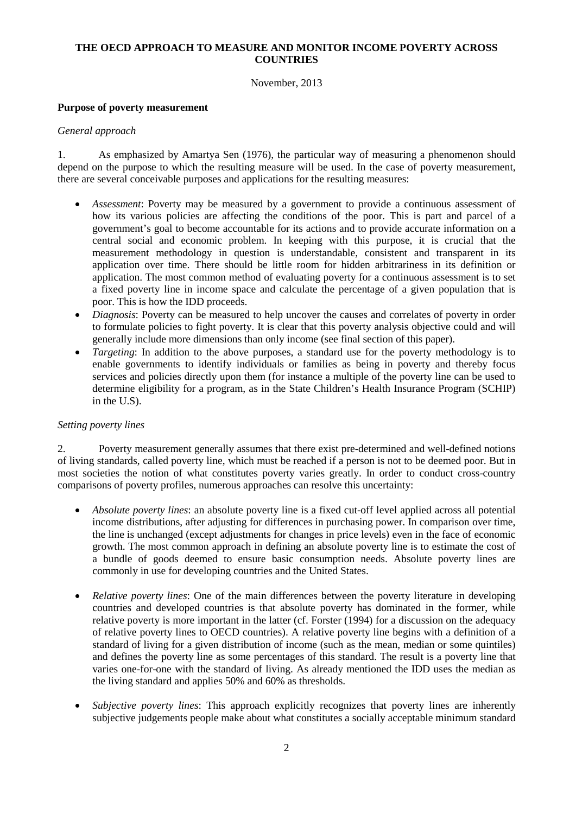# **THE OECD APPROACH TO MEASURE AND MONITOR INCOME POVERTY ACROSS COUNTRIES**

November, 2013

## **Purpose of poverty measurement**

### *General approach*

1. As emphasized by Amartya Sen (1976), the particular way of measuring a phenomenon should depend on the purpose to which the resulting measure will be used. In the case of poverty measurement, there are several conceivable purposes and applications for the resulting measures:

- *Assessment*: Poverty may be measured by a government to provide a continuous assessment of how its various policies are affecting the conditions of the poor. This is part and parcel of a government's goal to become accountable for its actions and to provide accurate information on a central social and economic problem. In keeping with this purpose, it is crucial that the measurement methodology in question is understandable, consistent and transparent in its application over time. There should be little room for hidden arbitrariness in its definition or application. The most common method of evaluating poverty for a continuous assessment is to set a fixed poverty line in income space and calculate the percentage of a given population that is poor. This is how the IDD proceeds.
- *Diagnosis*: Poverty can be measured to help uncover the causes and correlates of poverty in order to formulate policies to fight poverty. It is clear that this poverty analysis objective could and will generally include more dimensions than only income (see final section of this paper).
- *Targeting*: In addition to the above purposes, a standard use for the poverty methodology is to enable governments to identify individuals or families as being in poverty and thereby focus services and policies directly upon them (for instance a multiple of the poverty line can be used to determine eligibility for a program, as in the State Children's Health Insurance Program (SCHIP) in the U.S).

## *Setting poverty lines*

2. Poverty measurement generally assumes that there exist pre-determined and well-defined notions of living standards, called poverty line, which must be reached if a person is not to be deemed poor. But in most societies the notion of what constitutes poverty varies greatly. In order to conduct cross-country comparisons of poverty profiles, numerous approaches can resolve this uncertainty:

- *Absolute poverty lines*: an absolute poverty line is a fixed cut-off level applied across all potential income distributions, after adjusting for differences in purchasing power. In comparison over time, the line is unchanged (except adjustments for changes in price levels) even in the face of economic growth. The most common approach in defining an absolute poverty line is to estimate the cost of a bundle of goods deemed to ensure basic consumption needs. Absolute poverty lines are commonly in use for developing countries and the United States.
- *Relative poverty lines*: One of the main differences between the poverty literature in developing countries and developed countries is that absolute poverty has dominated in the former, while relative poverty is more important in the latter (cf. Forster (1994) for a discussion on the adequacy of relative poverty lines to OECD countries). A relative poverty line begins with a definition of a standard of living for a given distribution of income (such as the mean, median or some quintiles) and defines the poverty line as some percentages of this standard. The result is a poverty line that varies one-for-one with the standard of living. As already mentioned the IDD uses the median as the living standard and applies 50% and 60% as thresholds.
- *Subjective poverty lines*: This approach explicitly recognizes that poverty lines are inherently subjective judgements people make about what constitutes a socially acceptable minimum standard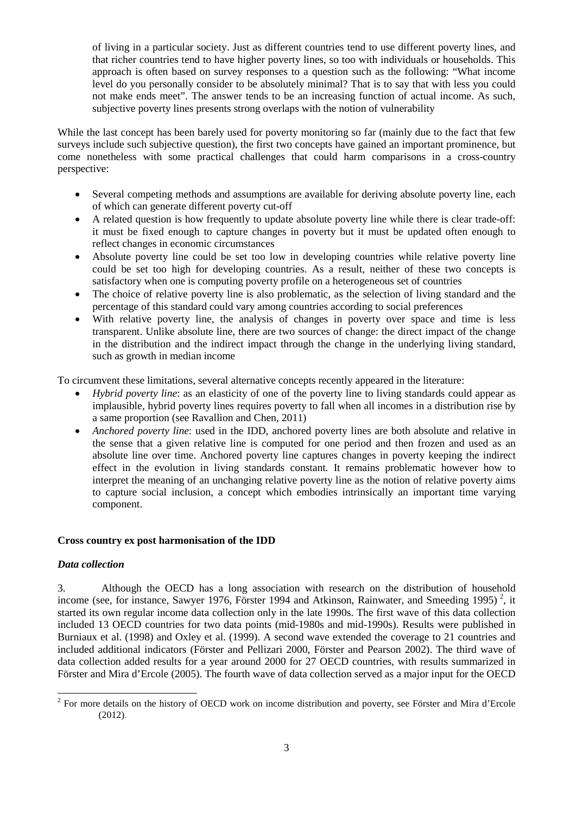of living in a particular society. Just as different countries tend to use different poverty lines, and that richer countries tend to have higher poverty lines, so too with individuals or households. This approach is often based on survey responses to a question such as the following: "What income level do you personally consider to be absolutely minimal? That is to say that with less you could not make ends meet". The answer tends to be an increasing function of actual income. As such, subjective poverty lines presents strong overlaps with the notion of vulnerability

While the last concept has been barely used for poverty monitoring so far (mainly due to the fact that few surveys include such subjective question), the first two concepts have gained an important prominence, but come nonetheless with some practical challenges that could harm comparisons in a cross-country perspective:

- Several competing methods and assumptions are available for deriving absolute poverty line, each of which can generate different poverty cut-off
- A related question is how frequently to update absolute poverty line while there is clear trade-off: it must be fixed enough to capture changes in poverty but it must be updated often enough to reflect changes in economic circumstances
- Absolute poverty line could be set too low in developing countries while relative poverty line could be set too high for developing countries. As a result, neither of these two concepts is satisfactory when one is computing poverty profile on a heterogeneous set of countries
- The choice of relative poverty line is also problematic, as the selection of living standard and the percentage of this standard could vary among countries according to social preferences
- With relative poverty line, the analysis of changes in poverty over space and time is less transparent. Unlike absolute line, there are two sources of change: the direct impact of the change in the distribution and the indirect impact through the change in the underlying living standard, such as growth in median income

To circumvent these limitations, several alternative concepts recently appeared in the literature:

- *Hybrid poverty line*: as an elasticity of one of the poverty line to living standards could appear as implausible, hybrid poverty lines requires poverty to fall when all incomes in a distribution rise by a same proportion (see Ravallion and Chen, 2011)
- *Anchored poverty line*: used in the IDD, anchored poverty lines are both absolute and relative in the sense that a given relative line is computed for one period and then frozen and used as an absolute line over time. Anchored poverty line captures changes in poverty keeping the indirect effect in the evolution in living standards constant. It remains problematic however how to interpret the meaning of an unchanging relative poverty line as the notion of relative poverty aims to capture social inclusion, a concept which embodies intrinsically an important time varying component.

# **Cross country ex post harmonisation of the IDD**

## *Data collection*

3. Although the OECD has a long association with research on the distribution of household income (see, for instance, Sawyer 1976, Förster 1994 and Atkinson, Rainwater, and Smeeding 1995)<sup>[2](#page-2-0)</sup>, it started its own regular income data collection only in the late 1990s. The first wave of this data collection included 13 OECD countries for two data points (mid-1980s and mid-1990s). Results were published in Burniaux et al. (1998) and Oxley et al. (1999). A second wave extended the coverage to 21 countries and included additional indicators (Förster and Pellizari 2000, Förster and Pearson 2002). The third wave of data collection added results for a year around 2000 for 27 OECD countries, with results summarized in Förster and Mira d'Ercole (2005). The fourth wave of data collection served as a major input for the OECD

<span id="page-2-0"></span> $2$  For more details on the history of OECD work on income distribution and poverty, see Förster and Mira d'Ercole (2012).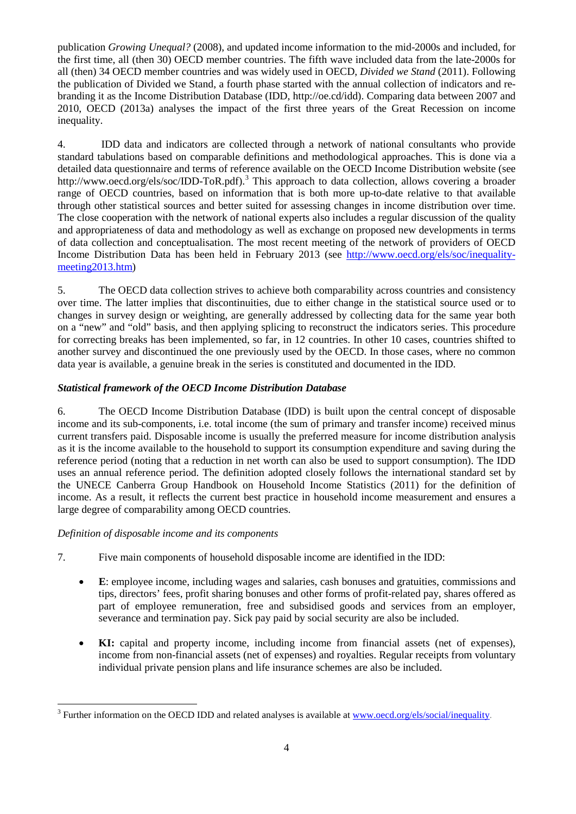publication *Growing Unequal?* (2008), and updated income information to the mid-2000s and included, for the first time, all (then 30) OECD member countries. The fifth wave included data from the late-2000s for all (then) 34 OECD member countries and was widely used in OECD, *Divided we Stand* (2011). Following the publication of Divided we Stand, a fourth phase started with the annual collection of indicators and rebranding it as the Income Distribution Database (IDD, http://oe.cd/idd). Comparing data between 2007 and 2010, OECD (2013a) analyses the impact of the first three years of the Great Recession on income inequality.

4. IDD data and indicators are collected through a network of national consultants who provide standard tabulations based on comparable definitions and methodological approaches. This is done via a detailed data questionnaire and terms of reference available on the OECD Income Distribution website (see http://www.oecd.org/els/soc/IDD-ToR.pdf).<sup>[3](#page-3-0)</sup> This approach to data collection, allows covering a broader range of OECD countries, based on information that is both more up-to-date relative to that available through other statistical sources and better suited for assessing changes in income distribution over time. The close cooperation with the network of national experts also includes a regular discussion of the quality and appropriateness of data and methodology as well as exchange on proposed new developments in terms of data collection and conceptualisation. The most recent meeting of the network of providers of OECD Income Distribution Data has been held in February 2013 (see [http://www.oecd.org/els/soc/inequality](http://www.oecd.org/els/soc/inequality-meeting2013.htm)[meeting2013.htm\)](http://www.oecd.org/els/soc/inequality-meeting2013.htm)

5. The OECD data collection strives to achieve both comparability across countries and consistency over time. The latter implies that discontinuities, due to either change in the statistical source used or to changes in survey design or weighting, are generally addressed by collecting data for the same year both on a "new" and "old" basis, and then applying splicing to reconstruct the indicators series. This procedure for correcting breaks has been implemented, so far, in 12 countries. In other 10 cases, countries shifted to another survey and discontinued the one previously used by the OECD. In those cases, where no common data year is available, a genuine break in the series is constituted and documented in the IDD.

# *Statistical framework of the OECD Income Distribution Database*

6. The OECD Income Distribution Database (IDD) is built upon the central concept of disposable income and its sub-components, i.e. total income (the sum of primary and transfer income) received minus current transfers paid. Disposable income is usually the preferred measure for income distribution analysis as it is the income available to the household to support its consumption expenditure and saving during the reference period (noting that a reduction in net worth can also be used to support consumption). The IDD uses an annual reference period. The definition adopted closely follows the international standard set by the UNECE Canberra Group Handbook on Household Income Statistics (2011) for the definition of income. As a result, it reflects the current best practice in household income measurement and ensures a large degree of comparability among OECD countries.

## *Definition of disposable income and its components*

- 7. Five main components of household disposable income are identified in the IDD:
	- **E**: employee income, including wages and salaries, cash bonuses and gratuities, commissions and tips, directors' fees, profit sharing bonuses and other forms of profit-related pay, shares offered as part of employee remuneration, free and subsidised goods and services from an employer, severance and termination pay. Sick pay paid by social security are also be included.
	- **KI:** capital and property income, including income from financial assets (net of expenses), income from non-financial assets (net of expenses) and royalties. Regular receipts from voluntary individual private pension plans and life insurance schemes are also be included.

<span id="page-3-0"></span> $3$  Further information on the OECD IDD and related analyses is available at www.oecd.org/els/social/inequality.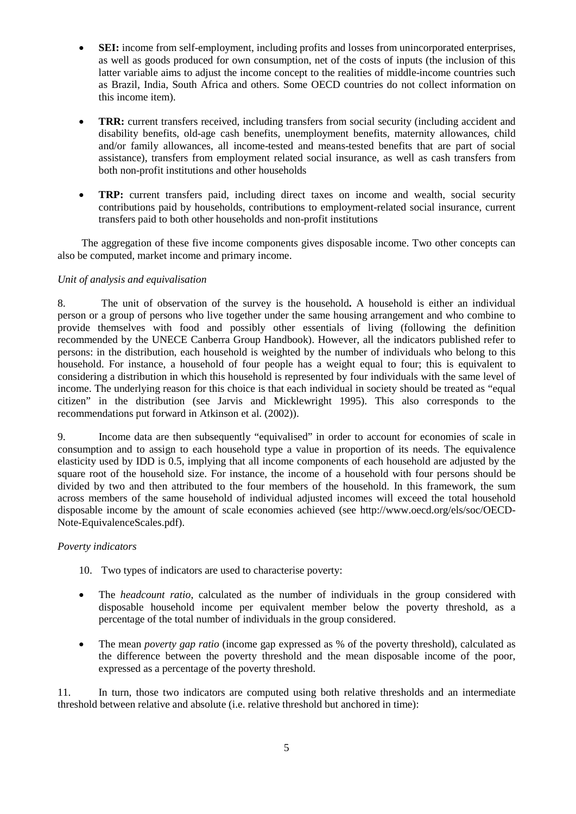- **SEI:** income from self-employment, including profits and losses from unincorporated enterprises, as well as goods produced for own consumption, net of the costs of inputs (the inclusion of this latter variable aims to adjust the income concept to the realities of middle-income countries such as Brazil, India, South Africa and others. Some OECD countries do not collect information on this income item).
- **TRR:** current transfers received, including transfers from social security (including accident and disability benefits, old-age cash benefits, unemployment benefits, maternity allowances, child and/or family allowances, all income-tested and means-tested benefits that are part of social assistance), transfers from employment related social insurance, as well as cash transfers from both non-profit institutions and other households
- **TRP:** current transfers paid, including direct taxes on income and wealth, social security contributions paid by households, contributions to employment-related social insurance, current transfers paid to both other households and non-profit institutions

The aggregation of these five income components gives disposable income. Two other concepts can also be computed, market income and primary income.

# *Unit of analysis and equivalisation*

8. The unit of observation of the survey is the household**.** A household is either an individual person or a group of persons who live together under the same housing arrangement and who combine to provide themselves with food and possibly other essentials of living (following the definition recommended by the UNECE Canberra Group Handbook). However, all the indicators published refer to persons: in the distribution, each household is weighted by the number of individuals who belong to this household. For instance, a household of four people has a weight equal to four; this is equivalent to considering a distribution in which this household is represented by four individuals with the same level of income. The underlying reason for this choice is that each individual in society should be treated as "equal citizen" in the distribution (see Jarvis and Micklewright 1995). This also corresponds to the recommendations put forward in Atkinson et al. (2002)).

9. Income data are then subsequently "equivalised" in order to account for economies of scale in consumption and to assign to each household type a value in proportion of its needs. The equivalence elasticity used by IDD is 0.5, implying that all income components of each household are adjusted by the square root of the household size. For instance, the income of a household with four persons should be divided by two and then attributed to the four members of the household. In this framework, the sum across members of the same household of individual adjusted incomes will exceed the total household disposable income by the amount of scale economies achieved (see http://www.oecd.org/els/soc/OECD-Note-EquivalenceScales.pdf).

## *Poverty indicators*

- 10. Two types of indicators are used to characterise poverty:
- The *headcount ratio*, calculated as the number of individuals in the group considered with disposable household income per equivalent member below the poverty threshold, as a percentage of the total number of individuals in the group considered.
- The mean *poverty gap ratio* (income gap expressed as % of the poverty threshold), calculated as the difference between the poverty threshold and the mean disposable income of the poor, expressed as a percentage of the poverty threshold.

11. In turn, those two indicators are computed using both relative thresholds and an intermediate threshold between relative and absolute (i.e. relative threshold but anchored in time):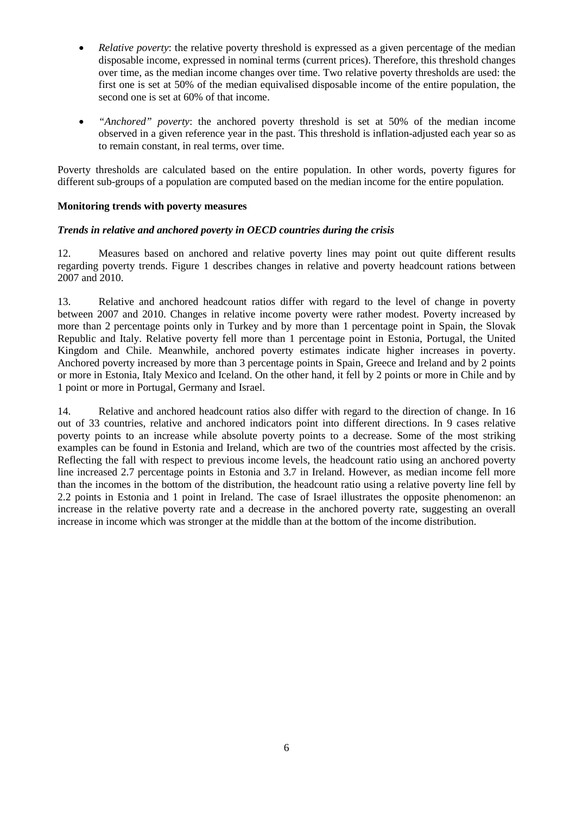- *Relative poverty:* the relative poverty threshold is expressed as a given percentage of the median disposable income, expressed in nominal terms (current prices). Therefore, this threshold changes over time, as the median income changes over time. Two relative poverty thresholds are used: the first one is set at 50% of the median equivalised disposable income of the entire population, the second one is set at 60% of that income.
- *"Anchored" poverty*: the anchored poverty threshold is set at 50% of the median income observed in a given reference year in the past. This threshold is inflation-adjusted each year so as to remain constant, in real terms, over time.

Poverty thresholds are calculated based on the entire population. In other words, poverty figures for different sub-groups of a population are computed based on the median income for the entire population.

# **Monitoring trends with poverty measures**

# *Trends in relative and anchored poverty in OECD countries during the crisis*

12. Measures based on anchored and relative poverty lines may point out quite different results regarding poverty trends. Figure 1 describes changes in relative and poverty headcount rations between 2007 and 2010.

13. Relative and anchored headcount ratios differ with regard to the level of change in poverty between 2007 and 2010. Changes in relative income poverty were rather modest. Poverty increased by more than 2 percentage points only in Turkey and by more than 1 percentage point in Spain, the Slovak Republic and Italy. Relative poverty fell more than 1 percentage point in Estonia, Portugal, the United Kingdom and Chile. Meanwhile, anchored poverty estimates indicate higher increases in poverty. Anchored poverty increased by more than 3 percentage points in Spain, Greece and Ireland and by 2 points or more in Estonia, Italy Mexico and Iceland. On the other hand, it fell by 2 points or more in Chile and by 1 point or more in Portugal, Germany and Israel.

14. Relative and anchored headcount ratios also differ with regard to the direction of change. In 16 out of 33 countries, relative and anchored indicators point into different directions. In 9 cases relative poverty points to an increase while absolute poverty points to a decrease. Some of the most striking examples can be found in Estonia and Ireland, which are two of the countries most affected by the crisis. Reflecting the fall with respect to previous income levels, the headcount ratio using an anchored poverty line increased 2.7 percentage points in Estonia and 3.7 in Ireland. However, as median income fell more than the incomes in the bottom of the distribution, the headcount ratio using a relative poverty line fell by 2.2 points in Estonia and 1 point in Ireland. The case of Israel illustrates the opposite phenomenon: an increase in the relative poverty rate and a decrease in the anchored poverty rate, suggesting an overall increase in income which was stronger at the middle than at the bottom of the income distribution.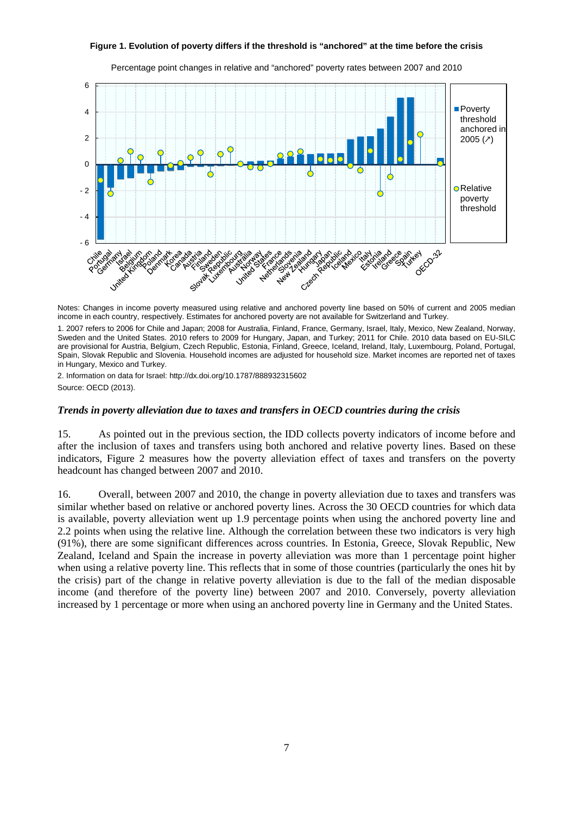#### **Figure 1. Evolution of poverty differs if the threshold is "anchored" at the time before the crisis**



Percentage point changes in relative and "anchored" poverty rates between 2007 and 2010

Notes: Changes in income poverty measured using relative and anchored poverty line based on 50% of current and 2005 median income in each country, respectively. Estimates for anchored poverty are not available for Switzerland and Turkey.

1. 2007 refers to 2006 for Chile and Japan; 2008 for Australia, Finland, France, Germany, Israel, Italy, Mexico, New Zealand, Norway, Sweden and the United States. 2010 refers to 2009 for Hungary, Japan, and Turkey; 2011 for Chile. 2010 data based on EU-SILC are provisional for Austria, Belgium, Czech Republic, Estonia, Finland, Greece, Iceland, Ireland, Italy, Luxembourg, Poland, Portugal, Spain, Slovak Republic and Slovenia. Household incomes are adjusted for household size. Market incomes are reported net of taxes in Hungary, Mexico and Turkey.

2. Information on data for Israel: http://dx.doi.org/10.1787/888932315602 Source: OECD (2013).

#### *Trends in poverty alleviation due to taxes and transfers in OECD countries during the crisis*

15. As pointed out in the previous section, the IDD collects poverty indicators of income before and after the inclusion of taxes and transfers using both anchored and relative poverty lines. Based on these indicators, Figure 2 measures how the poverty alleviation effect of taxes and transfers on the poverty headcount has changed between 2007 and 2010.

16. Overall, between 2007 and 2010, the change in poverty alleviation due to taxes and transfers was similar whether based on relative or anchored poverty lines. Across the 30 OECD countries for which data is available, poverty alleviation went up 1.9 percentage points when using the anchored poverty line and 2.2 points when using the relative line. Although the correlation between these two indicators is very high (91%), there are some significant differences across countries. In Estonia, Greece, Slovak Republic, New Zealand, Iceland and Spain the increase in poverty alleviation was more than 1 percentage point higher when using a relative poverty line. This reflects that in some of those countries (particularly the ones hit by the crisis) part of the change in relative poverty alleviation is due to the fall of the median disposable income (and therefore of the poverty line) between 2007 and 2010. Conversely, poverty alleviation increased by 1 percentage or more when using an anchored poverty line in Germany and the United States.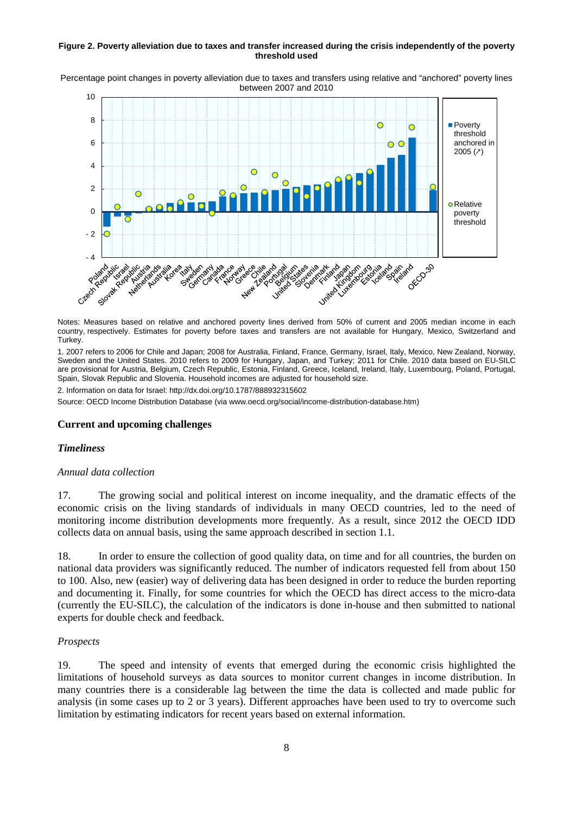#### **Figure 2. Poverty alleviation due to taxes and transfer increased during the crisis independently of the poverty threshold used**

Percentage point changes in poverty alleviation due to taxes and transfers using relative and "anchored" poverty lines between 2007 and 2010



Notes: Measures based on relative and anchored poverty lines derived from 50% of current and 2005 median income in each country, respectively. Estimates for poverty before taxes and transfers are not available for Hungary, Mexico, Switzerland and Turkey.

1. 2007 refers to 2006 for Chile and Japan; 2008 for Australia, Finland, France, Germany, Israel, Italy, Mexico, New Zealand, Norway, Sweden and the United States. 2010 refers to 2009 for Hungary, Japan, and Turkey; 2011 for Chile. 2010 data based on EU-SILC are provisional for Austria, Belgium, Czech Republic, Estonia, Finland, Greece, Iceland, Ireland, Italy, Luxembourg, Poland, Portugal, Spain, Slovak Republic and Slovenia. Household incomes are adjusted for household size.

2. Information on data for Israel: http://dx.doi.org/10.1787/888932315602

Source: OECD Income Distribution Database (via www.oecd.org/social/income-distribution-database.htm)

### **Current and upcoming challenges**

### *Timeliness*

### *Annual data collection*

17. The growing social and political interest on income inequality, and the dramatic effects of the economic crisis on the living standards of individuals in many OECD countries, led to the need of monitoring income distribution developments more frequently. As a result, since 2012 the OECD IDD collects data on annual basis, using the same approach described in section 1.1.

18. In order to ensure the collection of good quality data, on time and for all countries, the burden on national data providers was significantly reduced. The number of indicators requested fell from about 150 to 100. Also, new (easier) way of delivering data has been designed in order to reduce the burden reporting and documenting it. Finally, for some countries for which the OECD has direct access to the micro-data (currently the EU-SILC), the calculation of the indicators is done in-house and then submitted to national experts for double check and feedback.

### *Prospects*

19. The speed and intensity of events that emerged during the economic crisis highlighted the limitations of household surveys as data sources to monitor current changes in income distribution. In many countries there is a considerable lag between the time the data is collected and made public for analysis (in some cases up to 2 or 3 years). Different approaches have been used to try to overcome such limitation by estimating indicators for recent years based on external information.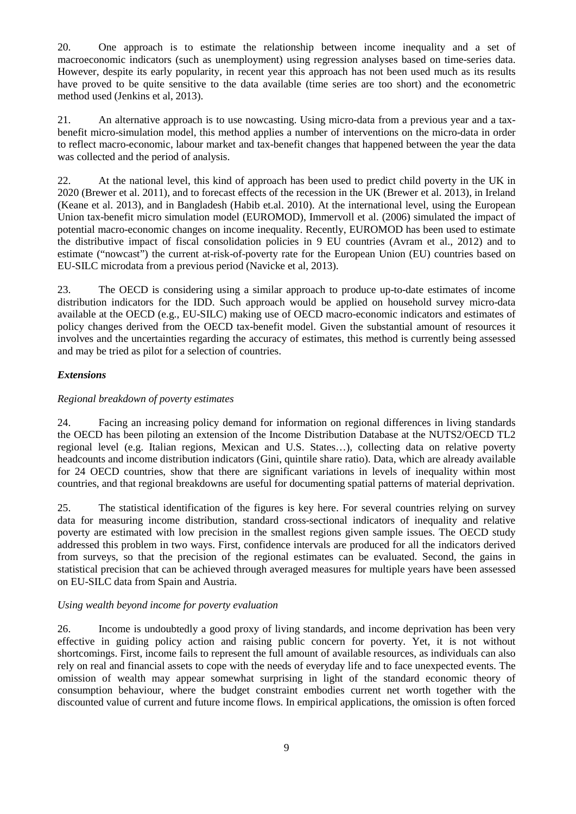20. One approach is to estimate the relationship between income inequality and a set of macroeconomic indicators (such as unemployment) using regression analyses based on time-series data. However, despite its early popularity, in recent year this approach has not been used much as its results have proved to be quite sensitive to the data available (time series are too short) and the econometric method used (Jenkins et al, 2013).

21. An alternative approach is to use nowcasting. Using micro-data from a previous year and a taxbenefit micro-simulation model, this method applies a number of interventions on the micro-data in order to reflect macro-economic, labour market and tax-benefit changes that happened between the year the data was collected and the period of analysis.

22. At the national level, this kind of approach has been used to predict child poverty in the UK in 2020 (Brewer et al. 2011), and to forecast effects of the recession in the UK (Brewer et al. 2013), in Ireland (Keane et al. 2013), and in Bangladesh (Habib et.al. 2010). At the international level, using the European Union tax-benefit micro simulation model (EUROMOD), Immervoll et al. (2006) simulated the impact of potential macro-economic changes on income inequality. Recently, EUROMOD has been used to estimate the distributive impact of fiscal consolidation policies in 9 EU countries (Avram et al., 2012) and to estimate ("nowcast") the current at-risk-of-poverty rate for the European Union (EU) countries based on EU-SILC microdata from a previous period (Navicke et al, 2013).

23. The OECD is considering using a similar approach to produce up-to-date estimates of income distribution indicators for the IDD. Such approach would be applied on household survey micro-data available at the OECD (e.g., EU-SILC) making use of OECD macro-economic indicators and estimates of policy changes derived from the OECD tax-benefit model. Given the substantial amount of resources it involves and the uncertainties regarding the accuracy of estimates, this method is currently being assessed and may be tried as pilot for a selection of countries.

# *Extensions*

# *Regional breakdown of poverty estimates*

24. Facing an increasing policy demand for information on regional differences in living standards the OECD has been piloting an extension of the Income Distribution Database at the NUTS2/OECD TL2 regional level (e.g. Italian regions, Mexican and U.S. States…), collecting data on relative poverty headcounts and income distribution indicators (Gini, quintile share ratio). Data, which are already available for 24 OECD countries, show that there are significant variations in levels of inequality within most countries, and that regional breakdowns are useful for documenting spatial patterns of material deprivation.

25. The statistical identification of the figures is key here. For several countries relying on survey data for measuring income distribution, standard cross-sectional indicators of inequality and relative poverty are estimated with low precision in the smallest regions given sample issues. The OECD study addressed this problem in two ways. First, confidence intervals are produced for all the indicators derived from surveys, so that the precision of the regional estimates can be evaluated. Second, the gains in statistical precision that can be achieved through averaged measures for multiple years have been assessed on EU-SILC data from Spain and Austria.

## *Using wealth beyond income for poverty evaluation*

26. Income is undoubtedly a good proxy of living standards, and income deprivation has been very effective in guiding policy action and raising public concern for poverty. Yet, it is not without shortcomings. First, income fails to represent the full amount of available resources, as individuals can also rely on real and financial assets to cope with the needs of everyday life and to face unexpected events. The omission of wealth may appear somewhat surprising in light of the standard economic theory of consumption behaviour, where the budget constraint embodies current net worth together with the discounted value of current and future income flows. In empirical applications, the omission is often forced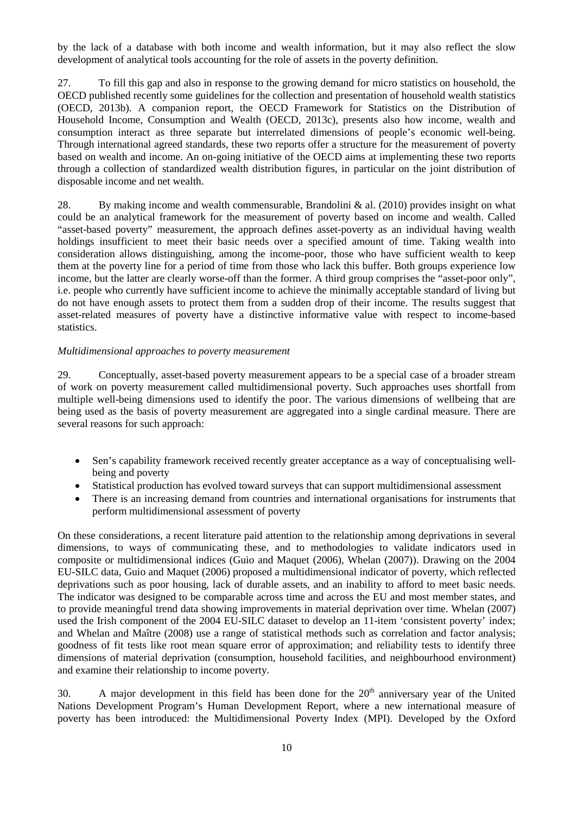by the lack of a database with both income and wealth information, but it may also reflect the slow development of analytical tools accounting for the role of assets in the poverty definition.

27. To fill this gap and also in response to the growing demand for micro statistics on household, the OECD published recently some guidelines for the collection and presentation of household wealth statistics (OECD, 2013b). A companion report, the OECD Framework for Statistics on the Distribution of Household Income, Consumption and Wealth (OECD, 2013c), presents also how income, wealth and consumption interact as three separate but interrelated dimensions of people's economic well-being. Through international agreed standards, these two reports offer a structure for the measurement of poverty based on wealth and income. An on-going initiative of the OECD aims at implementing these two reports through a collection of standardized wealth distribution figures, in particular on the joint distribution of disposable income and net wealth.

28. By making income and wealth commensurable, Brandolini & al. (2010) provides insight on what could be an analytical framework for the measurement of poverty based on income and wealth. Called "asset-based poverty" measurement, the approach defines asset-poverty as an individual having wealth holdings insufficient to meet their basic needs over a specified amount of time. Taking wealth into consideration allows distinguishing, among the income-poor, those who have sufficient wealth to keep them at the poverty line for a period of time from those who lack this buffer. Both groups experience low income, but the latter are clearly worse-off than the former. A third group comprises the "asset-poor only", i.e. people who currently have sufficient income to achieve the minimally acceptable standard of living but do not have enough assets to protect them from a sudden drop of their income. The results suggest that asset-related measures of poverty have a distinctive informative value with respect to income-based statistics.

### *Multidimensional approaches to poverty measurement*

29. Conceptually, asset-based poverty measurement appears to be a special case of a broader stream of work on poverty measurement called multidimensional poverty. Such approaches uses shortfall from multiple well-being dimensions used to identify the poor. The various dimensions of wellbeing that are being used as the basis of poverty measurement are aggregated into a single cardinal measure. There are several reasons for such approach:

- Sen's capability framework received recently greater acceptance as a way of conceptualising wellbeing and poverty
- Statistical production has evolved toward surveys that can support multidimensional assessment
- There is an increasing demand from countries and international organisations for instruments that perform multidimensional assessment of poverty

On these considerations, a recent literature paid attention to the relationship among deprivations in several dimensions, to ways of communicating these, and to methodologies to validate indicators used in composite or multidimensional indices (Guio and Maquet (2006), Whelan (2007)). Drawing on the 2004 EU-SILC data, Guio and Maquet (2006) proposed a multidimensional indicator of poverty, which reflected deprivations such as poor housing, lack of durable assets, and an inability to afford to meet basic needs. The indicator was designed to be comparable across time and across the EU and most member states, and to provide meaningful trend data showing improvements in material deprivation over time. Whelan (2007) used the Irish component of the 2004 EU-SILC dataset to develop an 11-item 'consistent poverty' index; and Whelan and Maître (2008) use a range of statistical methods such as correlation and factor analysis; goodness of fit tests like root mean square error of approximation; and reliability tests to identify three dimensions of material deprivation (consumption, household facilities, and neighbourhood environment) and examine their relationship to income poverty.

30. A major development in this field has been done for the  $20<sup>th</sup>$  anniversary year of the United Nations Development Program's Human Development Report, where a new international measure of poverty has been introduced: the Multidimensional Poverty Index (MPI). Developed by the Oxford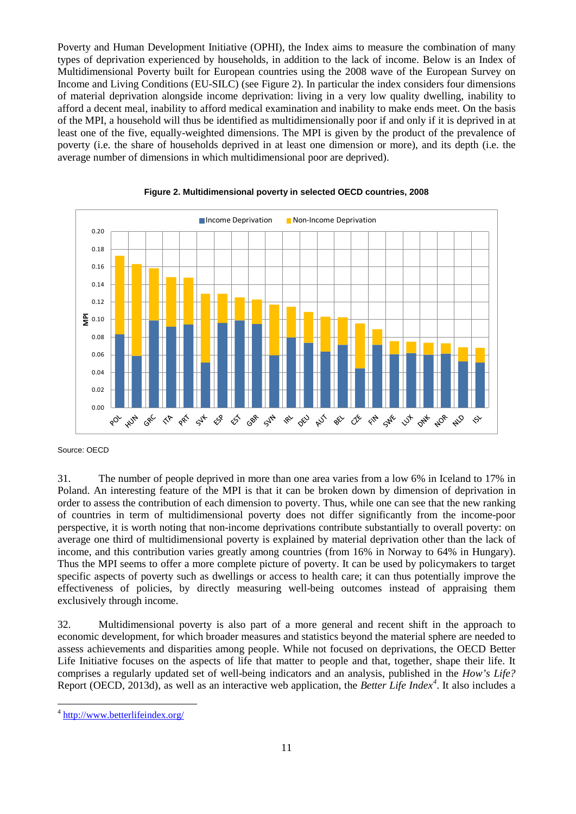Poverty and Human Development Initiative (OPHI), the Index aims to measure the combination of many types of deprivation experienced by households, in addition to the lack of income. Below is an Index of Multidimensional Poverty built for European countries using the 2008 wave of the European Survey on Income and Living Conditions (EU-SILC) (see Figure 2). In particular the index considers four dimensions of material deprivation alongside income deprivation: living in a very low quality dwelling, inability to afford a decent meal, inability to afford medical examination and inability to make ends meet. On the basis of the MPI, a household will thus be identified as multidimensionally poor if and only if it is deprived in at least one of the five, equally-weighted dimensions. The MPI is given by the product of the prevalence of poverty (i.e. the share of households deprived in at least one dimension or more), and its depth (i.e. the average number of dimensions in which multidimensional poor are deprived).





Source: OECD

31. The number of people deprived in more than one area varies from a low 6% in Iceland to 17% in Poland. An interesting feature of the MPI is that it can be broken down by dimension of deprivation in order to assess the contribution of each dimension to poverty. Thus, while one can see that the new ranking of countries in term of multidimensional poverty does not differ significantly from the income-poor perspective, it is worth noting that non-income deprivations contribute substantially to overall poverty: on average one third of multidimensional poverty is explained by material deprivation other than the lack of income, and this contribution varies greatly among countries (from 16% in Norway to 64% in Hungary). Thus the MPI seems to offer a more complete picture of poverty. It can be used by policymakers to target specific aspects of poverty such as dwellings or access to health care; it can thus potentially improve the effectiveness of policies, by directly measuring well-being outcomes instead of appraising them exclusively through income.

32. Multidimensional poverty is also part of a more general and recent shift in the approach to economic development, for which broader measures and statistics beyond the material sphere are needed to assess achievements and disparities among people. While not focused on deprivations, the OECD Better Life Initiative focuses on the aspects of life that matter to people and that, together, shape their life. It comprises a regularly updated set of well-being indicators and an analysis, published in the *How's Life?*  Report (OECD, 2013d)*,* as well as an interactive web application, the *Better Life Index[4](#page-10-0)* . It also includes a

<span id="page-10-0"></span> <sup>4</sup> <http://www.betterlifeindex.org/>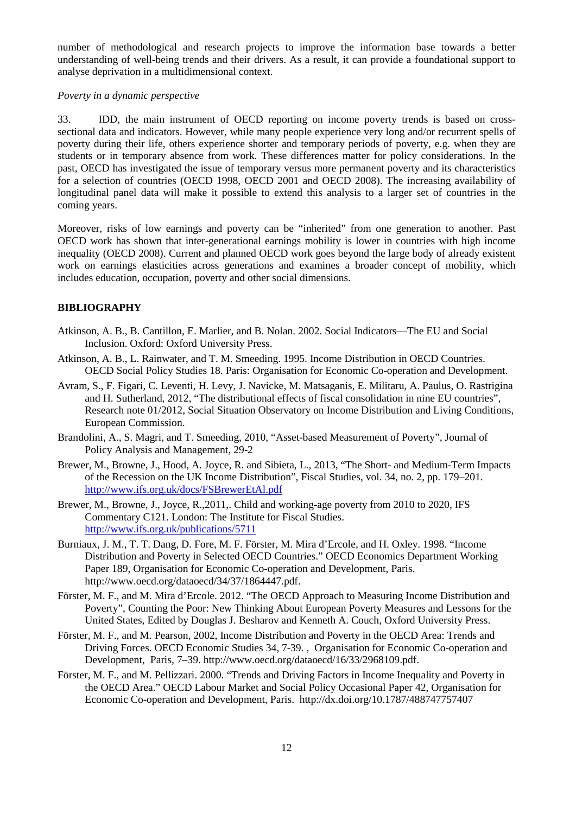number of methodological and research projects to improve the information base towards a better understanding of well-being trends and their drivers. As a result, it can provide a foundational support to analyse deprivation in a multidimensional context.

### *Poverty in a dynamic perspective*

33. IDD, the main instrument of OECD reporting on income poverty trends is based on crosssectional data and indicators. However, while many people experience very long and/or recurrent spells of poverty during their life, others experience shorter and temporary periods of poverty, e.g. when they are students or in temporary absence from work. These differences matter for policy considerations. In the past, OECD has investigated the issue of temporary versus more permanent poverty and its characteristics for a selection of countries (OECD 1998, OECD 2001 and OECD 2008). The increasing availability of longitudinal panel data will make it possible to extend this analysis to a larger set of countries in the coming years.

Moreover, risks of low earnings and poverty can be "inherited" from one generation to another. Past OECD work has shown that inter-generational earnings mobility is lower in countries with high income inequality (OECD 2008). Current and planned OECD work goes beyond the large body of already existent work on earnings elasticities across generations and examines a broader concept of mobility, which includes education, occupation, poverty and other social dimensions.

## **BIBLIOGRAPHY**

- Atkinson, A. B., B. Cantillon, E. Marlier, and B. Nolan. 2002. Social Indicators—The EU and Social Inclusion. Oxford: Oxford University Press.
- Atkinson, A. B., L. Rainwater, and T. M. Smeeding. 1995. Income Distribution in OECD Countries. OECD Social Policy Studies 18. Paris: Organisation for Economic Co-operation and Development.
- Avram, S., F. Figari, C. Leventi, H. Levy, J. Navicke, M. Matsaganis, E. Militaru, A. Paulus, O. Rastrigina and H. Sutherland, 2012, "The distributional effects of fiscal consolidation in nine EU countries", Research note 01/2012, Social Situation Observatory on Income Distribution and Living Conditions, European Commission.
- Brandolini, A., S. Magri, and T. Smeeding, 2010, "Asset-based Measurement of Poverty", Journal of Policy Analysis and Management, 29-2
- Brewer, M., Browne, J., Hood, A. Joyce, R. and Sibieta, L., 2013, "The Short- and Medium-Term Impacts of the Recession on the UK Income Distribution", Fiscal Studies, vol. 34, no. 2, pp. 179–201. <http://www.ifs.org.uk/docs/FSBrewerEtAl.pdf>
- Brewer, M., Browne, J., Joyce, R.,2011,. Child and working-age poverty from 2010 to 2020, IFS Commentary C121. London: The Institute for Fiscal Studies. <http://www.ifs.org.uk/publications/5711>
- Burniaux, J. M., T. T. Dang, D. Fore, M. F. Förster, M. Mira d'Ercole, and H. Oxley. 1998. "Income Distribution and Poverty in Selected OECD Countries." OECD Economics Department Working Paper 189, Organisation for Economic Co-operation and Development, Paris. http://www.oecd.org/dataoecd/34/37/1864447.pdf.
- Förster, M. F., and M. Mira d'Ercole. 2012. "The OECD Approach to Measuring Income Distribution and Poverty", Counting the Poor: New Thinking About European Poverty Measures and Lessons for the United States, Edited by Douglas J. Besharov and Kenneth A. Couch, Oxford University Press.
- Förster, M. F., and M. Pearson, 2002, Income Distribution and Poverty in the OECD Area: Trends and Driving Forces. OECD Economic Studies 34, 7-39. , Organisation for Economic Co-operation and Development, Paris, 7–39. http://www.oecd.org/dataoecd/16/33/2968109.pdf.
- Förster, M. F., and M. Pellizzari. 2000. "Trends and Driving Factors in Income Inequality and Poverty in the OECD Area." OECD Labour Market and Social Policy Occasional Paper 42, Organisation for Economic Co-operation and Development, Paris. http://dx.doi.org/10.1787/488747757407